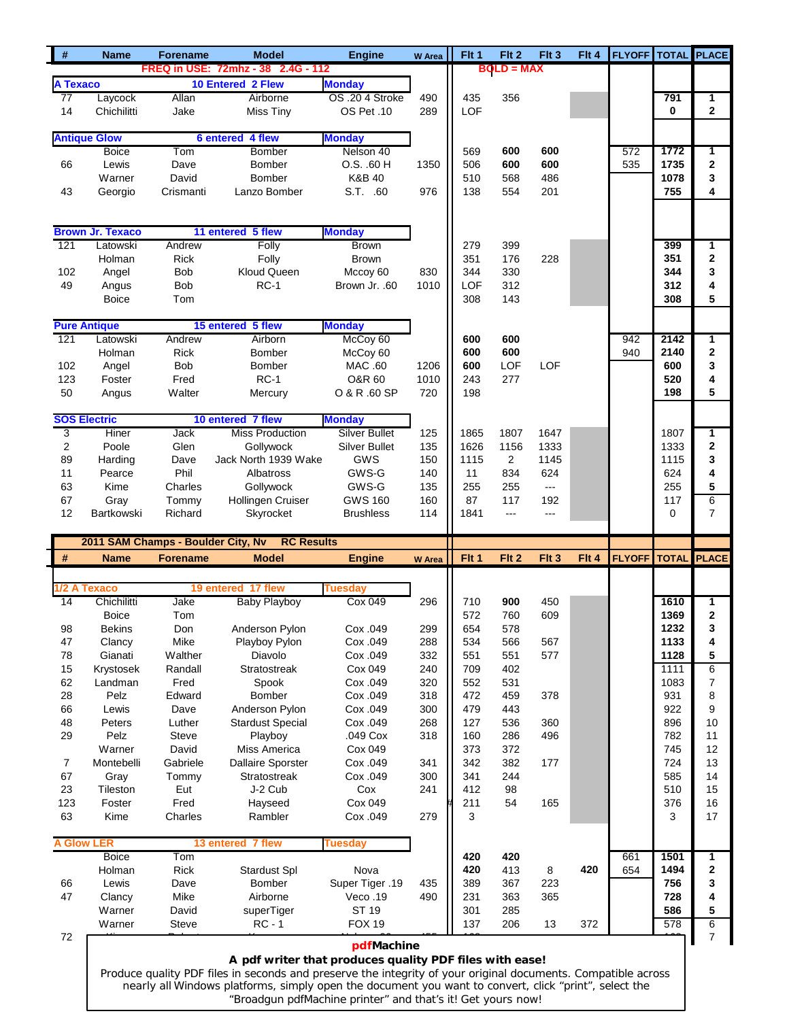| $\#$                    | <b>Name</b>                        | <b>Forename</b> | <b>Model</b>                                                                                                  | <b>Engine</b>                                               | <b>W</b> Area | Flt 1    | Flt 2                | Flt 3                    | Flt 4 | <b>FLYOFF TOTAL PLACE</b> |      |                         |
|-------------------------|------------------------------------|-----------------|---------------------------------------------------------------------------------------------------------------|-------------------------------------------------------------|---------------|----------|----------------------|--------------------------|-------|---------------------------|------|-------------------------|
|                         |                                    |                 | FREQ in USE: 72mhz - 38 2.4G - 112                                                                            |                                                             |               |          | $BOLD = MAX$         |                          |       |                           |      |                         |
| <b>A Texaco</b>         |                                    |                 | 10 Entered 2 Flew                                                                                             | <b>Monday</b>                                               |               |          |                      |                          |       |                           |      |                         |
| $\overline{77}$         | Laycock                            | Allan           | Airborne                                                                                                      | OS .20 4 Stroke                                             | 490           | 435      | 356                  |                          |       |                           | 791  | 1                       |
| 14                      | Chichilitti                        | Jake            | Miss Tiny                                                                                                     | OS Pet .10                                                  | 289           | LOF      |                      |                          |       |                           | 0    | $\mathbf 2$             |
|                         |                                    |                 |                                                                                                               |                                                             |               |          |                      |                          |       |                           |      |                         |
|                         |                                    |                 |                                                                                                               |                                                             |               |          |                      |                          |       |                           |      |                         |
|                         | <b>Antique Glow</b>                |                 | 6 entered 4 flew                                                                                              | <b>Monday</b>                                               |               |          |                      |                          |       |                           |      |                         |
|                         | <b>Boice</b>                       | Tom             | Bomber                                                                                                        | Nelson 40                                                   |               | 569      | 600                  | 600                      |       | 572                       | 1772 | 1                       |
| 66                      | Lewis                              | Dave            | Bomber                                                                                                        | O.S. .60 H                                                  | 1350          | 506      | 600                  | 600                      |       | 535                       | 1735 | $\overline{\mathbf{2}}$ |
|                         | Warner                             | David           | Bomber                                                                                                        | K&B 40                                                      |               | 510      | 568                  | 486                      |       |                           | 1078 | 3                       |
| 43                      | Georgio                            | Crismanti       | Lanzo Bomber                                                                                                  | S.T. .60                                                    | 976           | 138      | 554                  | 201                      |       |                           | 755  | 4                       |
|                         |                                    |                 |                                                                                                               |                                                             |               |          |                      |                          |       |                           |      |                         |
|                         |                                    |                 |                                                                                                               |                                                             |               |          |                      |                          |       |                           |      |                         |
|                         | <b>Brown Jr. Texaco</b>            |                 | 11 entered 5 flew                                                                                             | <b>Monday</b>                                               |               |          |                      |                          |       |                           |      |                         |
| 121                     | Latowski                           | Andrew          | Folly                                                                                                         | <b>Brown</b>                                                |               | 279      | 399                  |                          |       |                           | 399  | 1                       |
|                         |                                    |                 |                                                                                                               |                                                             |               |          |                      | 228                      |       |                           | 351  | $\mathbf 2$             |
|                         | Holman                             | <b>Rick</b>     | Folly                                                                                                         | <b>Brown</b>                                                |               | 351      | 176                  |                          |       |                           |      |                         |
| 102                     | Angel                              | <b>Bob</b>      | <b>Kloud Queen</b>                                                                                            | Mccoy 60                                                    | 830           | 344      | 330                  |                          |       |                           | 344  | 3                       |
| 49                      | Angus                              | Bob             | $RC-1$                                                                                                        | Brown Jr. .60                                               | 1010          | LOF      | 312                  |                          |       |                           | 312  | 4                       |
|                         | <b>Boice</b>                       | Tom             |                                                                                                               |                                                             |               | 308      | 143                  |                          |       |                           | 308  | 5                       |
|                         |                                    |                 |                                                                                                               |                                                             |               |          |                      |                          |       |                           |      |                         |
|                         | <b>Pure Antique</b>                |                 | 15 entered 5 flew                                                                                             | <b>Monday</b>                                               |               |          |                      |                          |       |                           |      |                         |
| $\overline{121}$        | Latowski                           | Andrew          | Airborn                                                                                                       | McCoy 60                                                    |               | 600      | 600                  |                          |       | 942                       | 2142 | 1                       |
|                         | Holman                             | <b>Rick</b>     | <b>Bomber</b>                                                                                                 | McCoy 60                                                    |               | 600      | 600                  |                          |       | 940                       | 2140 | 2                       |
| 102                     | Angel                              | <b>Bob</b>      | Bomber                                                                                                        | MAC .60                                                     | 1206          | 600      | LOF                  | LOF                      |       |                           | 600  | 3                       |
| 123                     | Foster                             | Fred            | $RC-1$                                                                                                        | O&R 60                                                      | 1010          | 243      | 277                  |                          |       |                           | 520  | 4                       |
| 50                      | Angus                              | Walter          | Mercury                                                                                                       | O & R .60 SP                                                | 720           | 198      |                      |                          |       |                           | 198  | 5                       |
|                         |                                    |                 |                                                                                                               |                                                             |               |          |                      |                          |       |                           |      |                         |
|                         | <b>SOS Electric</b>                |                 | 10 entered 7 flew                                                                                             | <b>Monday</b>                                               |               |          |                      |                          |       |                           |      |                         |
|                         |                                    |                 |                                                                                                               |                                                             |               |          |                      |                          |       |                           |      |                         |
| 3                       | Hiner                              | Jack            | <b>Miss Production</b>                                                                                        | <b>Silver Bullet</b>                                        | 125           | 1865     | 1807                 | 1647                     |       |                           | 1807 | 1                       |
| $\overline{\mathbf{c}}$ | Poole                              | Glen            | Gollywock                                                                                                     | <b>Silver Bullet</b>                                        | 135           | 1626     | 1156                 | 1333                     |       |                           | 1333 | 2                       |
| 89                      | Harding                            | Dave            | Jack North 1939 Wake                                                                                          | GWS                                                         | 150           | 1115     | $\overline{2}$       | 1145                     |       |                           | 1115 | 3                       |
| 11                      | Pearce                             | Phil            | Albatross                                                                                                     | GWS-G                                                       | 140           | 11       | 834                  | 624                      |       |                           | 624  | 4                       |
| 63                      | Kime                               | Charles         | Gollywock                                                                                                     | GWS-G                                                       | 135           | 255      | 255                  | $\overline{\phantom{a}}$ |       |                           | 255  | 5                       |
| 67                      | Gray                               | Tommy           | Hollingen Cruiser                                                                                             | <b>GWS 160</b>                                              | 160           | 87       | 117                  | 192                      |       |                           | 117  | 6                       |
| 12                      | Bartkowski                         | Richard         | Skyrocket                                                                                                     | <b>Brushless</b>                                            | 114           | 1841     | $\sim$ $\sim$ $\sim$ | ---                      |       |                           | 0    | $\overline{7}$          |
|                         |                                    |                 |                                                                                                               |                                                             |               |          |                      |                          |       |                           |      |                         |
|                         | 2011 SAM Champs - Boulder City, Nv |                 | <b>RC Results</b>                                                                                             |                                                             |               |          |                      |                          |       |                           |      |                         |
|                         |                                    |                 |                                                                                                               |                                                             |               |          |                      |                          |       |                           |      |                         |
| #                       |                                    | <b>Forename</b> | <b>Model</b>                                                                                                  |                                                             |               |          |                      | Flt 3                    | Flt 4 | <b>FLYOFF</b> TOTAL       |      |                         |
|                         | <b>Name</b>                        |                 |                                                                                                               | <b>Engine</b>                                               | <b>W</b> Area | Fit 1    | Flt 2                |                          |       |                           |      |                         |
|                         |                                    |                 |                                                                                                               |                                                             |               |          |                      |                          |       |                           |      |                         |
|                         | /2 A Texaco                        |                 | 19 entered 17 flew                                                                                            | <b>Tuesday</b>                                              |               |          |                      |                          |       |                           |      | <b>PLACE</b>            |
| 14                      | Chichilitti                        | Jake            | Baby Playboy                                                                                                  | <b>Cox 049</b>                                              | 296           | 710      | 900                  | 450                      |       |                           | 1610 | 1                       |
|                         | <b>Boice</b>                       | Tom             |                                                                                                               |                                                             |               | 572      | 760                  | 609                      |       |                           | 1369 | $\mathbf 2$             |
| 98                      | <b>Bekins</b>                      | Don             | Anderson Pylon                                                                                                | Cox .049                                                    | 299           | 654      | 578                  |                          |       |                           | 1232 | 3                       |
| 47                      | Clancy                             | Mike            | Playboy Pylon                                                                                                 | Cox .049                                                    | 288           | 534      | 566                  | 567                      |       |                           | 1133 | 4                       |
| 78                      | Gianati                            | Walther         | Diavolo                                                                                                       | Cox .049                                                    | 332           | 551      | 551                  | 577                      |       |                           | 1128 | 5                       |
| 15                      | Krystosek                          | Randall         | Stratostreak                                                                                                  | Cox 049                                                     | 240           | 709      | 402                  |                          |       |                           | 1111 | 6                       |
| 62                      | Landman                            | Fred            | Spook                                                                                                         | Cox .049                                                    | 320           | 552      | 531                  |                          |       |                           | 1083 | 7                       |
|                         | Pelz                               | Edward          | Bomber                                                                                                        | Cox .049                                                    | 318           | 472      | 459                  | 378                      |       |                           | 931  | 8                       |
| 28                      |                                    |                 |                                                                                                               |                                                             |               |          |                      |                          |       |                           |      |                         |
| 66                      | Lewis                              | Dave            | Anderson Pylon                                                                                                | Cox .049                                                    | 300           | 479      | 443                  |                          |       |                           | 922  | 9                       |
| 48                      | Peters                             | Luther          | <b>Stardust Special</b>                                                                                       | Cox .049                                                    | 268           | 127      | 536                  | 360                      |       |                           | 896  | 10                      |
| 29                      | Pelz                               | Steve           | Playboy                                                                                                       | .049 Cox                                                    | 318           | 160      | 286                  | 496                      |       |                           | 782  | 11                      |
|                         | Warner                             | David           | Miss America                                                                                                  | Cox 049                                                     |               | 373      | 372                  |                          |       |                           | 745  | 12                      |
| 7                       | Montebelli                         | Gabriele        | <b>Dallaire Sporster</b>                                                                                      | Cox .049                                                    | 341           | 342      | 382                  | 177                      |       |                           | 724  | 13                      |
| 67                      | Gray                               | Tommy           | Stratostreak                                                                                                  | Cox .049                                                    | 300           | 341      | 244                  |                          |       |                           | 585  | 14                      |
| 23                      | Tileston                           | Eut             | J-2 Cub                                                                                                       | Cox                                                         | 241           | 412      | 98                   |                          |       |                           | 510  | 15                      |
|                         | Foster                             |                 |                                                                                                               |                                                             |               |          |                      |                          |       |                           | 376  | 16                      |
| 123                     |                                    | Fred            | Hayseed                                                                                                       | Cox 049                                                     |               | 211<br>3 | 54                   | 165                      |       |                           |      |                         |
| 63                      | Kime                               | Charles         | Rambler                                                                                                       | Cox .049                                                    | 279           |          |                      |                          |       |                           | 3    | 17                      |
|                         |                                    |                 |                                                                                                               |                                                             |               |          |                      |                          |       |                           |      |                         |
|                         |                                    |                 | 13 entered 7 flew                                                                                             | <b>Tuesday</b>                                              |               |          |                      |                          |       |                           |      |                         |
|                         | <b>Boice</b>                       | Tom             |                                                                                                               |                                                             |               | 420      | 420                  |                          |       | 661                       | 1501 | 1                       |
|                         | Holman                             | <b>Rick</b>     | Stardust Spl                                                                                                  | Nova                                                        |               | 420      | 413                  | 8                        | 420   | 654                       | 1494 | 2                       |
| 66                      | Lewis                              | Dave            | Bomber                                                                                                        | Super Tiger .19                                             | 435           | 389      | 367                  | 223                      |       |                           | 756  | 3                       |
| 47                      | Clancy                             | Mike            | Airborne                                                                                                      | Veco.19                                                     | 490           | 231      | 363                  | 365                      |       |                           | 728  | 4                       |
|                         | Warner                             | David           | superTiger                                                                                                    | ST 19                                                       |               | 301      | 285                  |                          |       |                           | 586  | 5                       |
| <b>A Glow LER</b>       | Warner                             | <b>Steve</b>    | $RC - 1$                                                                                                      | <b>FOX 19</b>                                               |               | 137      | 206                  | 13                       | 372   |                           | 578  | 6                       |
| 72                      |                                    |                 |                                                                                                               |                                                             |               |          |                      |                          |       |                           |      | $\overline{7}$          |
|                         |                                    |                 |                                                                                                               | pdfMachine                                                  |               |          |                      |                          |       |                           |      |                         |
|                         |                                    |                 |                                                                                                               | A pdf writer that produces quality PDF files with ease!     |               |          |                      |                          |       |                           |      |                         |
|                         |                                    |                 | Produce quality PDF files in seconds and preserve the integrity of your original documents. Compatible across |                                                             |               |          |                      |                          |       |                           |      |                         |
|                         |                                    |                 | nearly all Windows platforms, simply open the document you want to convert, click "print", select the         | "Broadgun pdfMachine printer" and that's it! Get yours now! |               |          |                      |                          |       |                           |      |                         |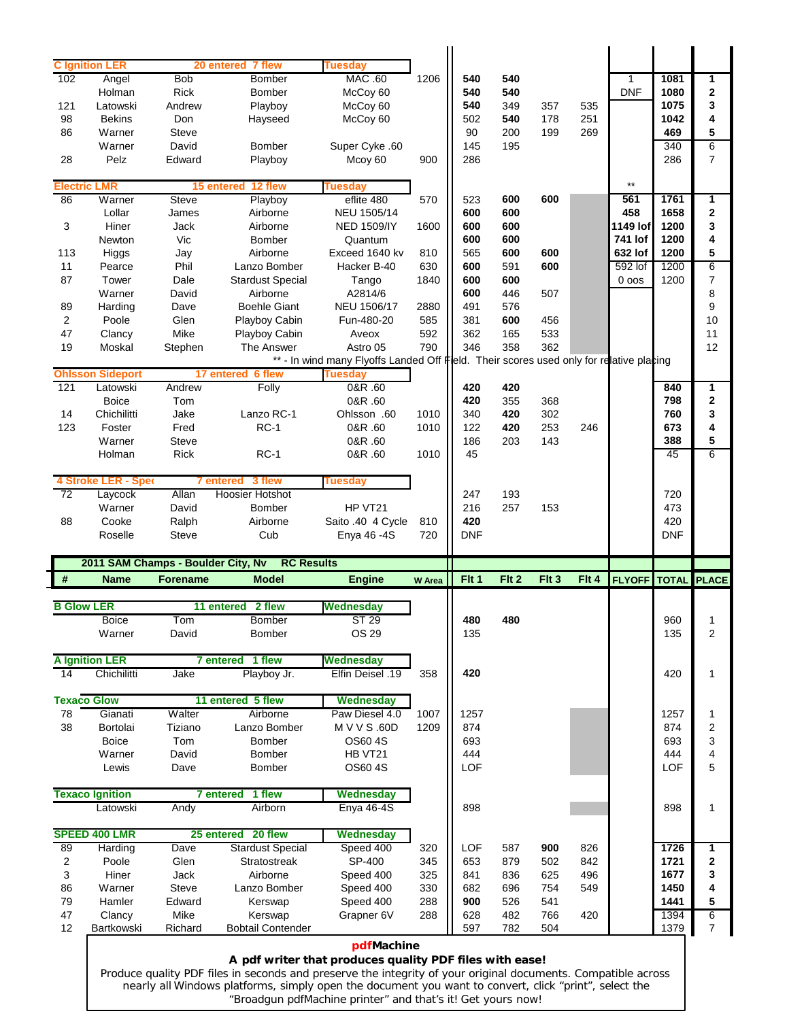| 102                              | <b>C</b> Ignition LER   |                                    | 20 entered 7 flew                                                                                                                                                                                                      | <b>Tuesdav</b>                                                                          |               |                  |            |       |       |               |              |                 |
|----------------------------------|-------------------------|------------------------------------|------------------------------------------------------------------------------------------------------------------------------------------------------------------------------------------------------------------------|-----------------------------------------------------------------------------------------|---------------|------------------|------------|-------|-------|---------------|--------------|-----------------|
|                                  | Angel                   | <b>Bob</b>                         | <b>Bomber</b>                                                                                                                                                                                                          | MAC .60                                                                                 | 1206          | 540              | 540        |       |       | $\mathbf{1}$  | 1081         | 1               |
|                                  | Holman                  | <b>Rick</b>                        | Bomber                                                                                                                                                                                                                 | McCoy 60                                                                                |               | 540              | 540        |       |       | <b>DNF</b>    | 1080         | $\mathbf 2$     |
| 121                              | Latowski                | Andrew                             | Playboy                                                                                                                                                                                                                | McCoy 60                                                                                |               | 540              | 349        | 357   | 535   |               | 1075         | 3               |
| 98                               | <b>Bekins</b>           | Don                                | Hayseed                                                                                                                                                                                                                | McCoy 60                                                                                |               | 502              | 540        | 178   | 251   |               | 1042         | 4               |
| 86                               | Warner                  | <b>Steve</b>                       |                                                                                                                                                                                                                        |                                                                                         |               | 90               | 200        | 199   | 269   |               | 469          | 5               |
|                                  | Warner                  | David                              | Bomber                                                                                                                                                                                                                 | Super Cyke .60                                                                          |               | 145              | 195        |       |       |               | 340          | 6               |
| 28                               | Pelz                    | Edward                             | Playboy                                                                                                                                                                                                                | Mcoy 60                                                                                 | 900           | 286              |            |       |       |               | 286          | $\overline{7}$  |
|                                  | <b>Electric LMR</b>     |                                    | 15 entered 12 flew                                                                                                                                                                                                     | <b>Tuesday</b>                                                                          |               |                  |            |       |       | $***$         |              |                 |
| 86                               | Warner                  | <b>Steve</b>                       | Playboy                                                                                                                                                                                                                | eflite 480                                                                              | 570           | 523              | 600        | 600   |       | 561           | 1761         | 1               |
|                                  | Lollar                  | James                              | Airborne                                                                                                                                                                                                               | NEU 1505/14                                                                             |               | 600              | 600        |       |       | 458           | 1658         | 2               |
| 3                                | Hiner                   | Jack                               | Airborne                                                                                                                                                                                                               | <b>NED 1509/IY</b>                                                                      | 1600          | 600              | 600        |       |       | 1149 lof      | 1200         | 3               |
|                                  | Newton                  | Vic                                | <b>Bomber</b>                                                                                                                                                                                                          |                                                                                         |               | 600              | 600        |       |       | 741 lof       | 1200         | 4               |
| 113                              |                         |                                    | Airborne                                                                                                                                                                                                               | Quantum                                                                                 |               | 565              | 600        | 600   |       | 632 lof       | 1200         | 5               |
|                                  | Higgs                   | Jay                                |                                                                                                                                                                                                                        | Exceed 1640 kv                                                                          | 810           |                  |            |       |       |               |              |                 |
| 11                               | Pearce                  | Phil                               | Lanzo Bomber                                                                                                                                                                                                           | Hacker B-40                                                                             | 630           | 600              | 591        | 600   |       | 592 lof       | 1200         | $6\overline{6}$ |
| 87                               | Tower                   | Dale                               | <b>Stardust Special</b>                                                                                                                                                                                                | Tango                                                                                   | 1840          | 600              | 600        |       |       | $0$ oos       | 1200         | 7               |
|                                  | Warner                  | David                              | Airborne                                                                                                                                                                                                               | A2814/6                                                                                 |               | 600              | 446        | 507   |       |               |              | 8               |
| 89                               | Harding                 | Dave                               | <b>Boehle Giant</b>                                                                                                                                                                                                    | NEU 1506/17                                                                             | 2880          | 491              | 576        |       |       |               |              | 9               |
| 2                                | Poole                   | Glen                               | Playboy Cabin                                                                                                                                                                                                          | Fun-480-20                                                                              | 585           | 381              | 600        | 456   |       |               |              | 10              |
| 47                               | Clancy                  | Mike                               | Playboy Cabin                                                                                                                                                                                                          | Aveox                                                                                   | 592           | 362              | 165        | 533   |       |               |              | 11              |
| 19                               | Moskal                  | Stephen                            | The Answer                                                                                                                                                                                                             | Astro 05                                                                                | 790           | 346              | 358        | 362   |       |               |              | 12              |
|                                  |                         |                                    |                                                                                                                                                                                                                        | ** - In wind many Flyoffs Landed Off Fleld. Their scores used only for relative placing |               |                  |            |       |       |               |              |                 |
|                                  | <b>Ohlsson Sideport</b> |                                    | 17 entered 6 flew                                                                                                                                                                                                      | <b>Tuesday</b>                                                                          |               |                  |            |       |       |               |              |                 |
| 121                              | Latowski                | Andrew                             | Folly                                                                                                                                                                                                                  | 0&R .60                                                                                 |               | 420              | 420        |       |       |               | 840          | 1               |
|                                  | <b>Boice</b>            | Tom                                |                                                                                                                                                                                                                        | 0&R .60                                                                                 |               | 420              | 355        | 368   |       |               | 798          | 2               |
| 14                               | Chichilitti             | Jake                               | Lanzo RC-1                                                                                                                                                                                                             | Ohlsson .60                                                                             | 1010          | 340              | 420        | 302   |       |               | 760          | 3               |
| 123                              | Foster                  | Fred                               | $RC-1$                                                                                                                                                                                                                 | 0&R .60                                                                                 | 1010          | 122              | 420        | 253   | 246   |               | 673          | 4               |
|                                  | Warner                  | <b>Steve</b>                       |                                                                                                                                                                                                                        | 0&R .60                                                                                 |               | 186              | 203        | 143   |       |               | 388          | 5               |
|                                  | Holman                  | <b>Rick</b>                        | <b>RC-1</b>                                                                                                                                                                                                            | 0&R .60                                                                                 | 1010          | 45               |            |       |       |               | 45           | 6               |
|                                  |                         |                                    |                                                                                                                                                                                                                        |                                                                                         |               |                  |            |       |       |               |              |                 |
|                                  | 4 Stroke LER - Sper     | <b>7</b> entered                   | 3 flew                                                                                                                                                                                                                 | <b>Tuesday</b>                                                                          |               |                  |            |       |       |               |              |                 |
| $\overline{72}$                  | Laycock                 | Allan                              | <b>Hoosier Hotshot</b>                                                                                                                                                                                                 |                                                                                         |               | 247              | 193        |       |       |               | 720          |                 |
|                                  | Warner                  | David                              | <b>Bomber</b>                                                                                                                                                                                                          | HP VT21                                                                                 |               | 216              | 257        | 153   |       |               | 473          |                 |
| 88                               | Cooke                   | Ralph                              | Airborne                                                                                                                                                                                                               | Saito .40 4 Cycle                                                                       | 810           | 420              |            |       |       |               | 420          |                 |
|                                  |                         |                                    |                                                                                                                                                                                                                        |                                                                                         |               |                  |            |       |       |               |              |                 |
|                                  | Roselle                 | <b>Steve</b>                       | Cub                                                                                                                                                                                                                    | Enya 46 - 4S                                                                            | 720           | <b>DNF</b>       |            |       |       |               | <b>DNF</b>   |                 |
|                                  |                         |                                    |                                                                                                                                                                                                                        |                                                                                         |               |                  |            |       |       |               |              |                 |
|                                  |                         | 2011 SAM Champs - Boulder City, Nv | <b>RC Results</b>                                                                                                                                                                                                      |                                                                                         |               |                  |            |       |       |               |              |                 |
|                                  | <b>Name</b>             | <b>Forename</b>                    | <b>Model</b>                                                                                                                                                                                                           | <b>Engine</b>                                                                           | <b>W</b> Area | Fit <sub>1</sub> | Flt 2      | Flt 3 | Flt 4 | <b>FLYOFF</b> | <b>TOTAL</b> | <b>PLACE</b>    |
|                                  |                         |                                    | 2 flew<br>11 entered                                                                                                                                                                                                   | <b>Wednesday</b>                                                                        |               |                  |            |       |       |               |              |                 |
|                                  | <b>Boice</b>            | Tom                                | Bomber                                                                                                                                                                                                                 | <b>ST 29</b>                                                                            |               | 480              | 480        |       |       |               | 960          |                 |
|                                  | Warner                  | David                              | <b>Bomber</b>                                                                                                                                                                                                          | OS 29                                                                                   |               | 135              |            |       |       |               | 135          | $\overline{2}$  |
|                                  |                         |                                    |                                                                                                                                                                                                                        |                                                                                         |               |                  |            |       |       |               |              |                 |
|                                  | <b>A Ignition LER</b>   |                                    | 7 entered 1 flew                                                                                                                                                                                                       | <b>Wednesday</b>                                                                        |               |                  |            |       |       |               |              |                 |
|                                  | Chichilitti             | Jake                               | Playboy Jr.                                                                                                                                                                                                            | Elfin Deisel .19                                                                        | 358           | 420              |            |       |       |               | 420          | 1               |
|                                  | <b>Texaco Glow</b>      |                                    | 11 entered 5 flew                                                                                                                                                                                                      | Wednesday                                                                               |               |                  |            |       |       |               |              |                 |
|                                  | Gianati                 | Walter                             | Airborne                                                                                                                                                                                                               | Paw Diesel 4.0                                                                          | 1007          | 1257             |            |       |       |               | 1257         | 1               |
|                                  | Bortolai                | Tiziano                            | Lanzo Bomber                                                                                                                                                                                                           | M V V S .60D                                                                            | 1209          | 874              |            |       |       |               | 874          | 2               |
|                                  | <b>Boice</b>            | Tom                                | Bomber                                                                                                                                                                                                                 | OS60 4S                                                                                 |               | 693              |            |       |       |               | 693          | 3               |
|                                  | Warner                  | David                              | Bomber                                                                                                                                                                                                                 | HB VT21                                                                                 |               | 444              |            |       |       |               | 444          | 4               |
|                                  | Lewis                   | Dave                               | <b>Bomber</b>                                                                                                                                                                                                          | OS60 4S                                                                                 |               | LOF              |            |       |       |               | <b>LOF</b>   | 5               |
|                                  |                         |                                    |                                                                                                                                                                                                                        |                                                                                         |               |                  |            |       |       |               |              |                 |
|                                  | <b>Texaco Ignition</b>  |                                    | 7 entered 1 flew                                                                                                                                                                                                       | Wednesday                                                                               |               |                  |            |       |       |               |              |                 |
|                                  | Latowski                | Andy                               | Airborn                                                                                                                                                                                                                | <b>Enya 46-4S</b>                                                                       |               | 898              |            |       |       |               | 898          | 1               |
|                                  | SPEED 400 LMR           |                                    | 25 entered 20 flew                                                                                                                                                                                                     | Wednesday                                                                               |               |                  |            |       |       |               |              |                 |
|                                  | Harding                 | Dave                               | <b>Stardust Special</b>                                                                                                                                                                                                | Speed 400                                                                               | 320           | LOF              | 587        | 900   | 826   |               | 1726         | 1               |
| $\overline{c}$                   | Poole                   | Glen                               | Stratostreak                                                                                                                                                                                                           | SP-400                                                                                  | 345           | 653              | 879        | 502   | 842   |               | 1721         | $\mathbf{2}$    |
| 3                                | Hiner                   | Jack                               | Airborne                                                                                                                                                                                                               | Speed 400                                                                               | 325           | 841              | 836        | 625   | 496   |               | 1677         | 3               |
|                                  | Warner                  | Steve                              | Lanzo Bomber                                                                                                                                                                                                           | Speed 400                                                                               | 330           | 682              | 696        | 754   | 549   |               | 1450         | 4               |
| #<br>14                          | Hamler                  | Edward                             |                                                                                                                                                                                                                        |                                                                                         |               | 900              |            | 541   |       |               | 1441         | 5               |
| 78<br>38<br>89<br>86<br>79<br>47 | Clancy                  | Mike                               | Kerswap<br>Kerswap                                                                                                                                                                                                     | Speed 400<br>Grapner 6V                                                                 | 288<br>288    |                  | 526<br>482 |       | 420   |               | 1394         | 6               |
| <b>B Glow LER</b><br>12          | Bartkowski              | Richard                            | <b>Bobtail Contender</b>                                                                                                                                                                                               |                                                                                         |               | 628              |            | 766   |       |               |              | 7               |
|                                  |                         |                                    |                                                                                                                                                                                                                        |                                                                                         |               | 597              | 782        | 504   |       |               | 1379         |                 |
|                                  |                         |                                    |                                                                                                                                                                                                                        | pdfMachine                                                                              |               |                  |            |       |       |               |              |                 |
|                                  |                         |                                    |                                                                                                                                                                                                                        | A pdf writer that produces quality PDF files with ease!                                 |               |                  |            |       |       |               |              |                 |
|                                  |                         |                                    | Produce quality PDF files in seconds and preserve the integrity of your original documents. Compatible across<br>nearly all Windows platforms, simply open the document you want to convert, click "print", select the |                                                                                         |               |                  |            |       |       |               |              |                 |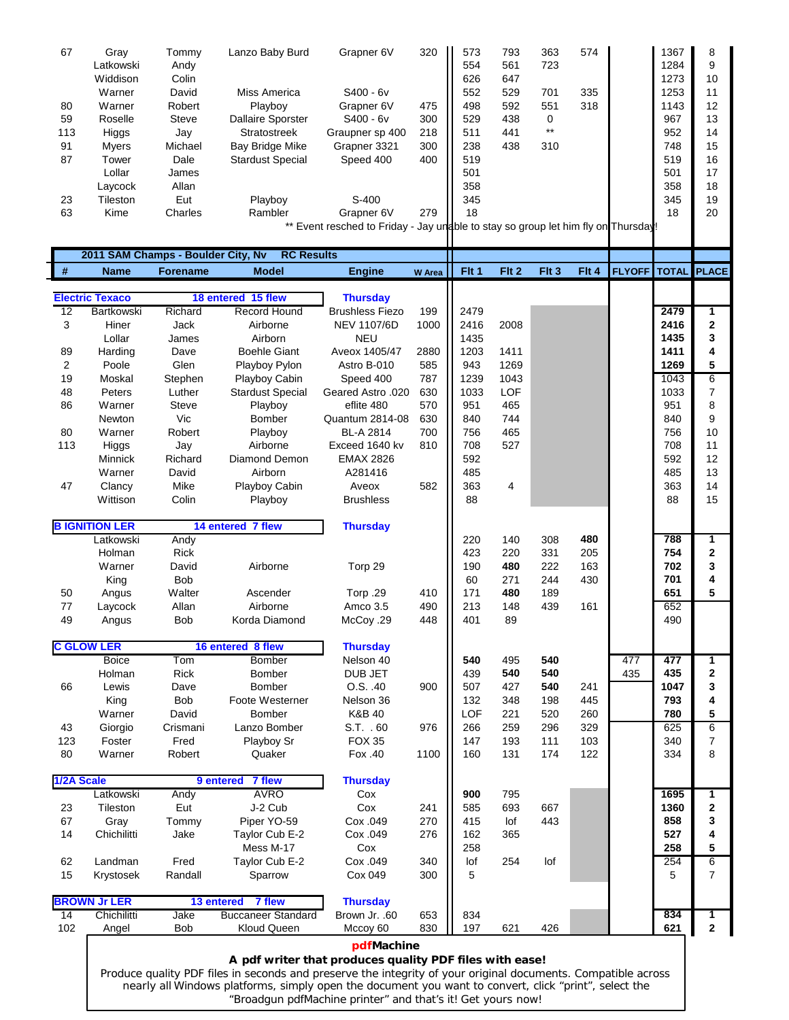| 67         | Gray<br>Latkowski      | Tommy                              | Lanzo Baby Burd                     | Grapner 6V                                                                        | 320           | 573<br>554       | 793<br>561       | 363<br>723         | 574   |                       | 1367<br>1284 | 8<br>9                   |
|------------|------------------------|------------------------------------|-------------------------------------|-----------------------------------------------------------------------------------|---------------|------------------|------------------|--------------------|-------|-----------------------|--------------|--------------------------|
|            | Widdison               | Andy<br>Colin                      |                                     |                                                                                   |               |                  |                  |                    |       |                       |              | 10                       |
|            |                        |                                    |                                     |                                                                                   |               | 626              | 647              |                    |       |                       | 1273         |                          |
|            | Warner                 | David                              | Miss America                        | $S400 - 6v$                                                                       |               | 552              | 529              | 701                | 335   |                       | 1253         | 11                       |
| 80<br>59   | Warner<br>Roselle      | Robert<br>Steve                    | Playboy<br><b>Dallaire Sporster</b> | Grapner 6V<br>S400 - 6v                                                           | 475<br>300    | 498<br>529       | 592<br>438       | 551<br>$\mathbf 0$ | 318   |                       | 1143<br>967  | 12<br>13                 |
| 113        | Higgs                  | Jay                                | <b>Stratostreek</b>                 | Graupner sp 400                                                                   | 218           | 511              | 441              | $^{\star\star}$    |       |                       | 952          | 14                       |
| 91         | Myers                  | Michael                            | <b>Bay Bridge Mike</b>              | Grapner 3321                                                                      | 300           | 238              | 438              | 310                |       |                       | 748          | 15                       |
| 87         | Tower                  | Dale                               | <b>Stardust Special</b>             | Speed 400                                                                         | 400           | 519              |                  |                    |       |                       | 519          | 16                       |
|            | Lollar                 | James                              |                                     |                                                                                   |               | 501              |                  |                    |       |                       | 501          | 17                       |
|            | Laycock                | Allan                              |                                     |                                                                                   |               | 358              |                  |                    |       |                       | 358          | 18                       |
| 23         | Tileston               | Eut                                | Playboy                             | $S-400$                                                                           |               | 345              |                  |                    |       |                       | 345          | 19                       |
| 63         | Kime                   | Charles                            | Rambler                             | Grapner 6V                                                                        | 279           | 18               |                  |                    |       |                       | 18           | 20                       |
|            |                        |                                    |                                     | ** Event resched to Friday - Jay undble to stay so group let him fly on Thursday! |               |                  |                  |                    |       |                       |              |                          |
|            |                        |                                    |                                     |                                                                                   |               |                  |                  |                    |       |                       |              |                          |
|            |                        | 2011 SAM Champs - Boulder City, Nv | <b>RC Results</b>                   |                                                                                   |               |                  |                  |                    |       |                       |              |                          |
| $\#$       | <b>Name</b>            | <b>Forename</b>                    | <b>Model</b>                        | <b>Engine</b>                                                                     | <b>W</b> Area | Fit <sub>1</sub> | Fit <sub>2</sub> | Flt 3              | Flt 4 | <b>FLYOFF</b>   TOTAL |              | <b>PLACE</b>             |
|            | <b>Electric Texaco</b> |                                    | 18 entered 15 flew                  | <b>Thursday</b>                                                                   |               |                  |                  |                    |       |                       |              |                          |
| 12         | Bartkowski             | Richard                            | <b>Record Hound</b>                 | <b>Brushless Fiezo</b>                                                            | 199           | 2479             |                  |                    |       |                       | 2479         | 1                        |
| 3          | Hiner                  | Jack                               | Airborne                            | <b>NEV 1107/6D</b>                                                                | 1000          | 2416             | 2008             |                    |       |                       | 2416         | 2                        |
|            | Lollar                 | James                              | Airborn                             | <b>NEU</b>                                                                        |               | 1435             |                  |                    |       |                       | 1435         | 3                        |
| 89         | Harding                | Dave                               | <b>Boehle Giant</b>                 | Aveox 1405/47                                                                     | 2880          | 1203             | 1411             |                    |       |                       | 1411         | 4                        |
| 2          | Poole                  | Glen                               | Playboy Pylon                       | Astro B-010                                                                       | 585           | 943              | 1269             |                    |       |                       | 1269         | 5                        |
| 19         | Moskal                 | Stephen                            | Playboy Cabin                       | Speed 400                                                                         | 787           | 1239             | 1043             |                    |       |                       | 1043         | $6\overline{6}$          |
| 48         | Peters                 | Luther                             | <b>Stardust Special</b>             | Geared Astro .020                                                                 | 630           | 1033             | <b>LOF</b>       |                    |       |                       | 1033         | 7                        |
| 86         | Warner                 | <b>Steve</b>                       | Playboy                             | eflite 480                                                                        | 570           | 951              | 465              |                    |       |                       | 951          | 8                        |
|            | Newton                 | Vic                                | Bomber                              | Quantum 2814-08                                                                   | 630           | 840              | 744              |                    |       |                       | 840          | 9                        |
| 80         | Warner                 | Robert                             | Playboy                             | BL-A 2814                                                                         | 700           | 756              | 465              |                    |       |                       | 756          | 10                       |
| 113        | Higgs                  | Jay                                | Airborne                            | Exceed 1640 kv                                                                    | 810           | 708              | 527              |                    |       |                       | 708          | 11                       |
|            | Minnick                | Richard                            | Diamond Demon                       | <b>EMAX 2826</b>                                                                  |               | 592              |                  |                    |       |                       | 592          | 12                       |
|            | Warner                 | David                              | Airborn                             | A281416                                                                           |               | 485              |                  |                    |       |                       | 485          | 13                       |
| 47         | Clancy                 | Mike                               | Playboy Cabin                       | Aveox                                                                             | 582           | 363              | 4                |                    |       |                       | 363          | 14                       |
|            | Wittison               | Colin                              | Playboy                             | <b>Brushless</b>                                                                  |               | 88               |                  |                    |       |                       | 88           | 15                       |
|            | <b>B IGNITION LER</b>  |                                    | 14 entered 7 flew                   | <b>Thursday</b>                                                                   |               |                  |                  |                    |       |                       |              |                          |
|            | Latkowski              | Andy                               |                                     |                                                                                   |               | 220              | 140              | 308                | 480   |                       | 788          | 1                        |
|            | Holman                 | <b>Rick</b>                        |                                     |                                                                                   |               | 423              | 220              | 331                | 205   |                       | 754          | 2                        |
|            | Warner                 | David                              | Airborne                            | Torp 29                                                                           |               | 190              | 480              | 222                | 163   |                       | 702          | 3                        |
|            | King                   | Bob                                |                                     |                                                                                   |               | 60               | 271              | 244                | 430   |                       | 701          | 4                        |
| 50         | Angus                  | Walter                             | Ascender                            | Torp .29                                                                          | 410           | 171              | 480              | 189                |       |                       | 651          | 5                        |
| 77         | Laycock                | Allan                              | Airborne                            | Amco 3.5                                                                          | 490           | 213              | 148              | 439                | 161   |                       | 652          |                          |
| 49         | Angus                  | Bob                                | Korda Diamond                       | McCoy .29                                                                         | 448           | 401              | 89               |                    |       |                       | 490          |                          |
|            | <b>C GLOW LER</b>      |                                    | 16 entered 8 flew                   | <b>Thursday</b>                                                                   |               |                  |                  |                    |       |                       |              |                          |
|            | <b>Boice</b>           | Tom                                | <b>Bomber</b>                       | Nelson 40                                                                         |               | 540              | 495              | 540                |       | 477                   | 477          | 1                        |
|            | Holman                 | Rick                               | Bomber                              | DUB JET                                                                           |               | 439              | 540              | 540                |       | 435                   | 435          | 2                        |
| 66         | Lewis                  | Dave                               | <b>Bomber</b>                       | O.S. .40                                                                          | 900           | 507              | 427              | 540                | 241   |                       | 1047         | 3                        |
|            | King                   | Bob                                | Foote Westerner                     | Nelson 36                                                                         |               | 132              | 348              | 198                | 445   |                       | 793          | 4                        |
|            | Warner                 | David                              | Bomber                              | K&B 40                                                                            |               | LOF              | 221              | 520                | 260   |                       | 780          | 5                        |
| 43         | Giorgio                | Crismani                           | Lanzo Bomber                        | S.T. . 60                                                                         | 976           | 266              | 259              | 296                | 329   |                       | 625          | 6                        |
| 123        | Foster                 | Fred                               | Playboy Sr                          | <b>FOX 35</b>                                                                     |               | 147              | 193              | 111                | 103   |                       | 340          | $\overline{\mathcal{I}}$ |
| 80         | Warner                 | Robert                             | Quaker                              | Fox .40                                                                           | 1100          | 160              | 131              | 174                | 122   |                       | 334          | 8                        |
| 1/2A Scale |                        |                                    | 7 flew<br>9 entered                 | <b>Thursday</b>                                                                   |               |                  |                  |                    |       |                       |              |                          |
|            | Latkowski              | Andy                               | <b>AVRO</b>                         | Cox                                                                               |               | 900              | 795              |                    |       |                       | 1695         | 1                        |
| 23         | Tileston               | Eut                                | J-2 Cub                             | Cox                                                                               | 241           | 585              | 693              | 667                |       |                       | 1360         | 2                        |
| 67         | Gray                   | Tommy                              | Piper YO-59                         | Cox .049                                                                          | 270           | 415              | lof              | 443                |       |                       | 858          | 3                        |
| 14         | Chichilitti            | Jake                               | Taylor Cub E-2                      | Cox .049                                                                          | 276           | 162              | 365              |                    |       |                       | 527          | 4                        |
|            |                        |                                    | Mess M-17                           | Cox                                                                               |               | 258              |                  |                    |       |                       | 258          | 5                        |
| 62         | Landman                | Fred                               | Taylor Cub E-2                      | Cox .049                                                                          | 340           | lof              | 254              | lof                |       |                       | 254          | 6                        |
| 15         | Krystosek              | Randall                            | Sparrow                             | Cox 049                                                                           | 300           | 5                |                  |                    |       |                       | 5            | 7                        |
|            | <b>BROWN Jr LER</b>    |                                    | 7 flew<br>13 entered                | <b>Thursday</b>                                                                   |               |                  |                  |                    |       |                       |              |                          |
|            |                        | Jake                               | <b>Buccaneer Standard</b>           | Brown Jr. .60                                                                     | 653           | 834              |                  |                    |       |                       | 834          | 1                        |
| 14         | Chichilitti            |                                    |                                     |                                                                                   | 830           | 197              | 621              | 426                |       |                       | 621          | $\mathbf 2$              |